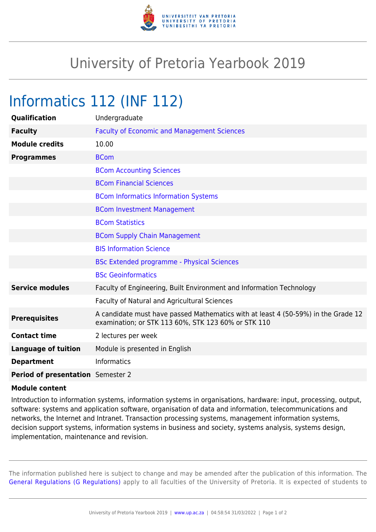

## University of Pretoria Yearbook 2019

## Informatics 112 (INF 112)

| <b>Qualification</b>                     | Undergraduate                                                                                                                            |
|------------------------------------------|------------------------------------------------------------------------------------------------------------------------------------------|
| <b>Faculty</b>                           | <b>Faculty of Economic and Management Sciences</b>                                                                                       |
| <b>Module credits</b>                    | 10.00                                                                                                                                    |
| <b>Programmes</b>                        | <b>BCom</b>                                                                                                                              |
|                                          | <b>BCom Accounting Sciences</b>                                                                                                          |
|                                          | <b>BCom Financial Sciences</b>                                                                                                           |
|                                          | <b>BCom Informatics Information Systems</b>                                                                                              |
|                                          | <b>BCom Investment Management</b>                                                                                                        |
|                                          | <b>BCom Statistics</b>                                                                                                                   |
|                                          | <b>BCom Supply Chain Management</b>                                                                                                      |
|                                          | <b>BIS Information Science</b>                                                                                                           |
|                                          | <b>BSc Extended programme - Physical Sciences</b>                                                                                        |
|                                          | <b>BSc Geoinformatics</b>                                                                                                                |
| <b>Service modules</b>                   | Faculty of Engineering, Built Environment and Information Technology                                                                     |
|                                          | <b>Faculty of Natural and Agricultural Sciences</b>                                                                                      |
| <b>Prerequisites</b>                     | A candidate must have passed Mathematics with at least 4 (50-59%) in the Grade 12<br>examination; or STK 113 60%, STK 123 60% or STK 110 |
| <b>Contact time</b>                      | 2 lectures per week                                                                                                                      |
| <b>Language of tuition</b>               | Module is presented in English                                                                                                           |
| <b>Department</b>                        | <b>Informatics</b>                                                                                                                       |
| <b>Period of presentation</b> Semester 2 |                                                                                                                                          |

## **Module content**

Introduction to information systems, information systems in organisations, hardware: input, processing, output, software: systems and application software, organisation of data and information, telecommunications and networks, the Internet and Intranet. Transaction processing systems, management information systems, decision support systems, information systems in business and society, systems analysis, systems design, implementation, maintenance and revision.

The information published here is subject to change and may be amended after the publication of this information. The [General Regulations \(G Regulations\)](https://www.up.ac.za/parents/yearbooks/2019/rules/view/REG) apply to all faculties of the University of Pretoria. It is expected of students to